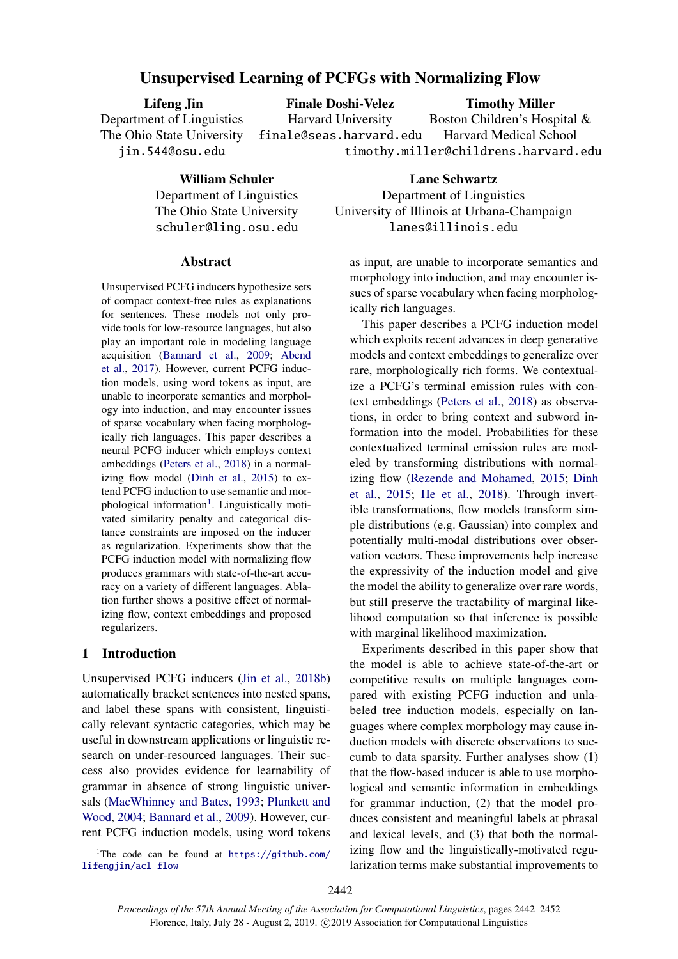# Unsupervised Learning of PCFGs with Normalizing Flow

Lifeng Jin Department of Linguistics The Ohio State University jin.544@osu.edu

Finale Doshi-Velez

Timothy Miller

Harvard University finale@seas.harvard.edu Boston Children's Hospital & Harvard Medical School timothy.miller@childrens.harvard.edu

William Schuler

Department of Linguistics The Ohio State University schuler@ling.osu.edu

### Abstract

Unsupervised PCFG inducers hypothesize sets of compact context-free rules as explanations for sentences. These models not only provide tools for low-resource languages, but also play an important role in modeling language acquisition [\(Bannard et al.,](#page-8-0) [2009;](#page-8-0) [Abend](#page-8-1) [et al.,](#page-8-1) [2017\)](#page-8-1). However, current PCFG induction models, using word tokens as input, are unable to incorporate semantics and morphology into induction, and may encounter issues of sparse vocabulary when facing morphologically rich languages. This paper describes a neural PCFG inducer which employs context embeddings [\(Peters et al.,](#page-9-0) [2018\)](#page-9-0) in a normalizing flow model [\(Dinh et al.,](#page-8-2) [2015\)](#page-8-2) to extend PCFG induction to use semantic and mor-phological information<sup>[1](#page-0-0)</sup>. Linguistically motivated similarity penalty and categorical distance constraints are imposed on the inducer as regularization. Experiments show that the PCFG induction model with normalizing flow produces grammars with state-of-the-art accuracy on a variety of different languages. Ablation further shows a positive effect of normalizing flow, context embeddings and proposed regularizers.

## 1 Introduction

Unsupervised PCFG inducers [\(Jin et al.,](#page-9-1) [2018b\)](#page-9-1) automatically bracket sentences into nested spans, and label these spans with consistent, linguistically relevant syntactic categories, which may be useful in downstream applications or linguistic research on under-resourced languages. Their success also provides evidence for learnability of grammar in absence of strong linguistic universals [\(MacWhinney and Bates,](#page-9-2) [1993;](#page-9-2) [Plunkett and](#page-9-3) [Wood,](#page-9-3) [2004;](#page-9-3) [Bannard et al.,](#page-8-0) [2009\)](#page-8-0). However, current PCFG induction models, using word tokens

<span id="page-0-0"></span><sup>1</sup>The code can be found at  $h$ ttps://github.com/ [lifengjin/acl\\_flow](https://github.com/lifengjin/acl_flow)

Lane Schwartz Department of Linguistics University of Illinois at Urbana-Champaign lanes@illinois.edu

as input, are unable to incorporate semantics and morphology into induction, and may encounter issues of sparse vocabulary when facing morphologically rich languages.

This paper describes a PCFG induction model which exploits recent advances in deep generative models and context embeddings to generalize over rare, morphologically rich forms. We contextualize a PCFG's terminal emission rules with context embeddings [\(Peters et al.,](#page-9-0) [2018\)](#page-9-0) as observations, in order to bring context and subword information into the model. Probabilities for these contextualized terminal emission rules are modeled by transforming distributions with normalizing flow [\(Rezende and Mohamed,](#page-9-4) [2015;](#page-9-4) [Dinh](#page-8-2) [et al.,](#page-8-2) [2015;](#page-8-2) [He et al.,](#page-8-3) [2018\)](#page-8-3). Through invertible transformations, flow models transform simple distributions (e.g. Gaussian) into complex and potentially multi-modal distributions over observation vectors. These improvements help increase the expressivity of the induction model and give the model the ability to generalize over rare words, but still preserve the tractability of marginal likelihood computation so that inference is possible with marginal likelihood maximization.

Experiments described in this paper show that the model is able to achieve state-of-the-art or competitive results on multiple languages compared with existing PCFG induction and unlabeled tree induction models, especially on languages where complex morphology may cause induction models with discrete observations to succumb to data sparsity. Further analyses show (1) that the flow-based inducer is able to use morphological and semantic information in embeddings for grammar induction, (2) that the model produces consistent and meaningful labels at phrasal and lexical levels, and (3) that both the normalizing flow and the linguistically-motivated regularization terms make substantial improvements to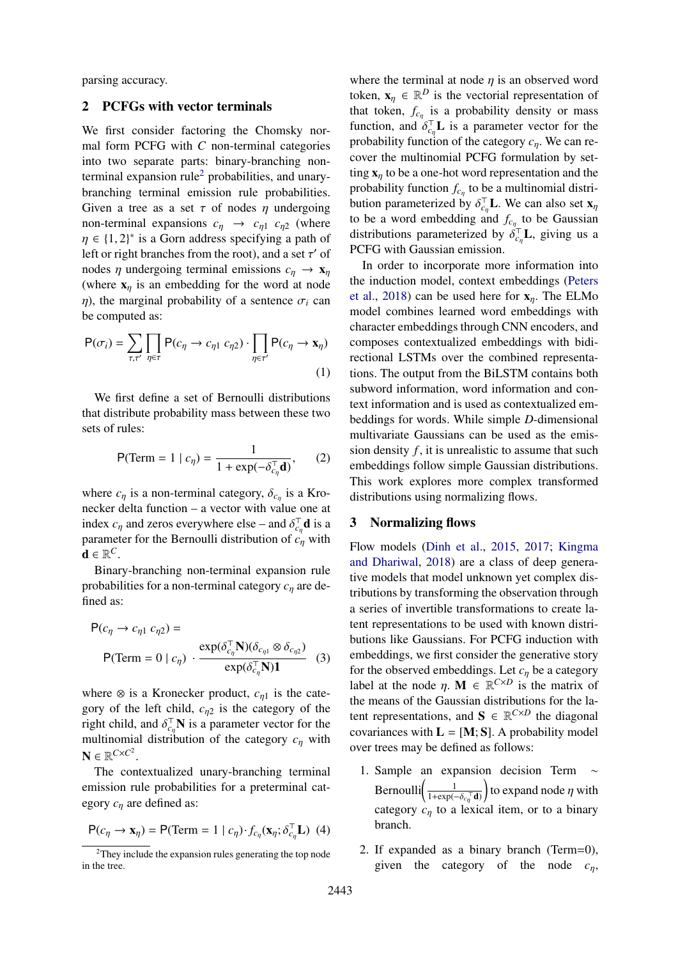parsing accuracy.

## 2 PCFGs with vector terminals

We first consider factoring the Chomsky normal form PCFG with *C* non-terminal categories into two separate parts: binary-branching non-terminal expansion rule<sup>[2](#page-1-0)</sup> probabilities, and unarybranching terminal emission rule probabilities. Given a tree as a set  $\tau$  of nodes  $\eta$  undergoing non-terminal expansions  $c_{\eta} \rightarrow c_{\eta 1} c_{\eta 2}$  (where  $\eta \in \{1, 2\}^*$  is a Gorn address specifying a path of left or right branches from the root) and a set  $\tau'$  of left or right branches from the root), and a set  $\tau'$  of<br>nodes n undergoing terminal emissions  $c \rightarrow \mathbf{x}$ nodes  $\eta$  undergoing terminal emissions  $c_n \to \mathbf{x}_n$ (where  $x_n$  is an embedding for the word at node  $η$ ), the marginal probability of a sentence  $σ<sub>i</sub>$  can be computed as:

$$
P(\sigma_i) = \sum_{\tau, \tau'} \prod_{\eta \in \tau} P(c_{\eta} \to c_{\eta 1} c_{\eta 2}) \cdot \prod_{\eta \in \tau'} P(c_{\eta} \to x_{\eta})
$$
\n(1)

We first define a set of Bernoulli distributions that distribute probability mass between these two sets of rules:

$$
P(\text{Term} = 1 \mid c_{\eta}) = \frac{1}{1 + \exp(-\delta_{c_{\eta}}^{\top} \mathbf{d})},\qquad(2)
$$

where  $c_{\eta}$  is a non-terminal category,  $\delta_{c_{\eta}}$  is a Kro-<br>necker delta function – a vector with value one at necker delta function – a vector with value one at index  $c_{\eta}$  and zeros everywhere else – and  $\delta_{c_{\eta}}^{\dagger}$ **d** is a<br>parameter for the Bernoulli distribution of c, with parameter for the Bernoulli distribution of *<sup>c</sup>*η with  $\mathbf{d} \in \mathbb{R}^C$ .

Binary-branching non-terminal expansion rule probabilities for a non-terminal category *<sup>c</sup>*η are defined as:

$$
P(c_{\eta} \to c_{\eta 1} c_{\eta 2}) =
$$
  
 
$$
P(\text{Term} = 0 | c_{\eta}) \cdot \frac{\exp(\delta_{c_{\eta}}^{\top} \mathbf{N})(\delta_{c_{\eta 1}} \otimes \delta_{c_{\eta 2}})}{\exp(\delta_{c_{\eta}}^{\top} \mathbf{N})\mathbf{1}} (3)
$$

where  $\otimes$  is a Kronecker product,  $c_{n1}$  is the category of the left child,  $c_{\eta2}$  is the category of the right child, and  $\delta_{c_p}^{\dagger} \mathbf{N}$  is a parameter vector for the<br>multinomial distribution of the category c, with multinomial distribution of the category *<sup>c</sup>*η with  $N \in \mathbb{R}^{C \times C^2}$ .

The contextualized unary-branching terminal emission rule probabilities for a preterminal category *<sup>c</sup>*η are defined as:

$$
\mathsf{P}(c_{\eta} \to \mathbf{x}_{\eta}) = \mathsf{P}(\text{Term} = 1 \mid c_{\eta}) \cdot f_{c_{\eta}}(\mathbf{x}_{\eta}; \delta_{c_{\eta}}^{\top} \mathbf{L}) \tag{4}
$$

where the terminal at node  $\eta$  is an observed word token,  $\mathbf{x}_{\eta} \in \mathbb{R}^D$  is the vectorial representation of that token,  $f_{c_{\eta}}$  is a probability density or mass function, and  $\delta_{c_n}^{\top}$  is a parameter vector for the probability function of the category  $c$ . We can reprobability function of the category *<sup>c</sup>*η. We can recover the multinomial PCFG formulation by setting  $x_n$  to be a one-hot word representation and the probability function  $f_{c\eta}$  to be a multinomial distribution parameterized by  $\delta_{c_{\eta}}^{\top} \mathbf{L}$ . We can also set  $\mathbf{x}_{\eta}$ <br>to be a word embedding and f to be Gaussian to be a word embedding and  $f_{c_n}$  to be Gaussian distributions parameterized by  $\delta_{c_\eta}^{\dagger} L$ , giving us a<br>**PCEG** with Gaussian emission PCFG with Gaussian emission.

In order to incorporate more information into the induction model, context embeddings [\(Peters](#page-9-0) [et al.,](#page-9-0) [2018\)](#page-9-0) can be used here for  $x_n$ . The ELMo model combines learned word embeddings with character embeddings through CNN encoders, and composes contextualized embeddings with bidirectional LSTMs over the combined representations. The output from the BiLSTM contains both subword information, word information and context information and is used as contextualized embeddings for words. While simple *D*-dimensional multivariate Gaussians can be used as the emission density *f* , it is unrealistic to assume that such embeddings follow simple Gaussian distributions. This work explores more complex transformed distributions using normalizing flows.

### 3 Normalizing flows

Flow models [\(Dinh et al.,](#page-8-2) [2015,](#page-8-2) [2017;](#page-8-4) [Kingma](#page-9-5) [and Dhariwal,](#page-9-5) [2018\)](#page-9-5) are a class of deep generative models that model unknown yet complex distributions by transforming the observation through a series of invertible transformations to create latent representations to be used with known distributions like Gaussians. For PCFG induction with embeddings, we first consider the generative story for the observed embeddings. Let  $c<sub>η</sub>$  be a category label at the node  $\eta$ . **M**  $\in \mathbb{R}^{C \times D}$  is the matrix of the means of the Gaussian distributions for the lathe means of the Gaussian distributions for the latent representations, and  $S \in \mathbb{R}^{C \times D}$  the diagonal covariances with  $L = [M; S]$ . A probability model over trees may be defined as follows:

- 1. Sample an expansion decision Term ∼ Bernoulli $\left( \frac{1}{1 + \exp($  $\frac{1+\exp(-δ<sub>cη</sub><sup>⊤</sup>**d**)}$ to expand node  $\eta$  with category  $c_{\eta}$  to a lexical item, or to a binary branch.
- 2. If expanded as a binary branch (Term=0), given the category of the node *<sup>c</sup>*η,

<span id="page-1-0"></span><sup>2</sup>They include the expansion rules generating the top node in the tree.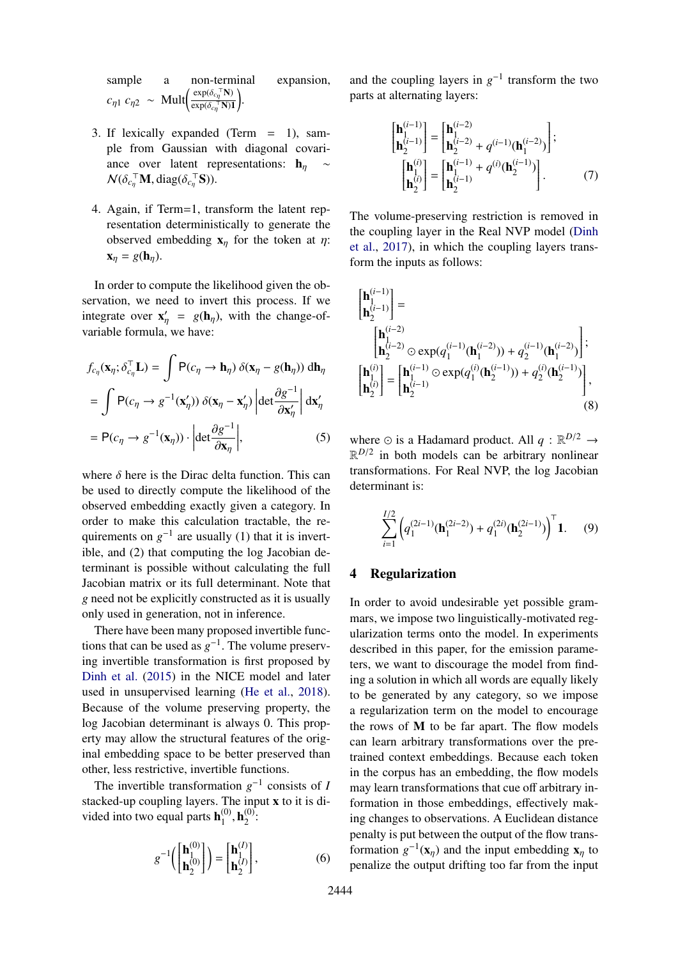sample a non-terminal expansion,  $c_{\eta 1} c_{\eta 2} \sim \text{Mult} \left( \frac{\exp(\delta_{c_{\eta}}^{\top} \mathbf{N})}{\exp(\delta_{c_{\eta}}^{\top} \mathbf{N})} \right)$  $\exp(\delta_{c\eta}^\top \mathbf{N})\mathbf{1}$ .

- 3. If lexically expanded (Term = 1), sample from Gaussian with diagonal covariance over latent representations:  $h_n$  $\mathcal{N}(\delta_{c_{\eta}}^{\top} \mathbf{M}, \text{diag}(\delta_{c_{\eta}}^{\top} \mathbf{S})).$
- 4. Again, if Term=1, transform the latent representation deterministically to generate the observed embedding  $x_n$  for the token at  $\eta$ :  $\mathbf{x}_\eta = g(\mathbf{h}_\eta).$

In order to compute the likelihood given the observation, we need to invert this process. If we integrate over  $\mathbf{x}'_{\eta} = g(\mathbf{h}_{\eta})$ , with the change-of-<br>variable formula we have: variable formula, we have:

$$
f_{c_{\eta}}(\mathbf{x}_{\eta}; \delta_{c_{\eta}}^{\top} \mathbf{L}) = \int P(c_{\eta} \to \mathbf{h}_{\eta}) \, \delta(\mathbf{x}_{\eta} - g(\mathbf{h}_{\eta})) \, d\mathbf{h}_{\eta}
$$

$$
= \int P(c_{\eta} \to g^{-1}(\mathbf{x}_{\eta}')) \, \delta(\mathbf{x}_{\eta} - \mathbf{x}_{\eta}') \left| \det \frac{\partial g^{-1}}{\partial \mathbf{x}_{\eta}'} \right| d\mathbf{x}_{\eta}'
$$

$$
= P(c_{\eta} \to g^{-1}(\mathbf{x}_{\eta})) \cdot \left| \det \frac{\partial g^{-1}}{\partial \mathbf{x}_{\eta}} \right|, \tag{5}
$$

where  $\delta$  here is the Dirac delta function. This can be used to directly compute the likelihood of the observed embedding exactly given a category. In order to make this calculation tractable, the requirements on  $g^{-1}$  are usually (1) that it is invertible, and (2) that computing the log Jacobian determinant is possible without calculating the full Jacobian matrix or its full determinant. Note that *g* need not be explicitly constructed as it is usually only used in generation, not in inference.

There have been many proposed invertible functions that can be used as  $g^{-1}$ . The volume preserving invertible transformation is first proposed by [Dinh et al.](#page-8-2) [\(2015\)](#page-8-2) in the NICE model and later used in unsupervised learning [\(He et al.,](#page-8-3) [2018\)](#page-8-3). Because of the volume preserving property, the log Jacobian determinant is always 0. This property may allow the structural features of the original embedding space to be better preserved than other, less restrictive, invertible functions.

The invertible transformation  $g^{-1}$  consists of *I* stacked-up coupling layers. The input x to it is divided into two equal parts  $h_1^{(0)}$  $\mathbf{h}_1^{(0)}$ ,  $\mathbf{h}_2^{(0)}$  $_{2}^{\textrm{\tiny{(U)}}}$ :

$$
g^{-1}\left(\begin{bmatrix} \mathbf{h}_{1}^{(0)} \\ \mathbf{h}_{2}^{(0)} \end{bmatrix}\right) = \begin{bmatrix} \mathbf{h}_{1}^{(I)} \\ \mathbf{h}_{2}^{(I)} \end{bmatrix},\tag{6}
$$

and the coupling layers in  $g^{-1}$  transform the two parts at alternating layers:

$$
\begin{bmatrix}\n\mathbf{h}_{1}^{(i-1)} \\
\mathbf{h}_{2}^{(i-1)}\n\end{bmatrix} =\n\begin{bmatrix}\n\mathbf{h}_{1}^{(i-2)} \\
\mathbf{h}_{2}^{(i-2)} + q^{(i-1)}(\mathbf{h}_{1}^{(i-2)})\n\end{bmatrix};
$$
\n
$$
\begin{bmatrix}\n\mathbf{h}_{1}^{(i)} \\
\mathbf{h}_{2}^{(i)}\n\end{bmatrix} =\n\begin{bmatrix}\n\mathbf{h}_{1}^{(i-1)} + q^{(i)}(\mathbf{h}_{2}^{(i-1)}) \\
\mathbf{h}_{2}^{(i-1)}\n\end{bmatrix}.
$$
\n(7)

The volume-preserving restriction is removed in the coupling layer in the Real NVP model [\(Dinh](#page-8-4) [et al.,](#page-8-4) [2017\)](#page-8-4), in which the coupling layers transform the inputs as follows:

$$
\begin{aligned}\n\begin{bmatrix}\n\mathbf{h}_{1}^{(i-1)} \\
\mathbf{h}_{2}^{(i-1)}\n\end{bmatrix} &= \\
\begin{bmatrix}\n\mathbf{h}_{1}^{(i-2)} \\
\mathbf{h}_{2}^{(i-2)} \odot \exp(q_{1}^{(i-1)}(\mathbf{h}_{1}^{(i-2)})) + q_{2}^{(i-1)}(\mathbf{h}_{1}^{(i-2)})\n\end{bmatrix}; \\
\begin{bmatrix}\n\mathbf{h}_{1}^{(i)} \\
\mathbf{h}_{2}^{(i)}\n\end{bmatrix} &= \begin{bmatrix}\n\mathbf{h}_{1}^{(i-1)} \odot \exp(q_{1}^{(i)}(\mathbf{h}_{2}^{(i-1)})) + q_{2}^{(i)}(\mathbf{h}_{2}^{(i-1)})\n\end{bmatrix}, \\
(8)\n\end{aligned}
$$

where  $\odot$  is a Hadamard product. All  $q : \mathbb{R}^{D/2} \rightarrow$  $\mathbb{R}^{D/2}$  in both models can be arbitrary nonlinear transformations. For Real NVP, the log Jacobian determinant is:

$$
\sum_{i=1}^{I/2} \left( q_1^{(2i-1)}(\mathbf{h}_1^{(2i-2)}) + q_1^{(2i)}(\mathbf{h}_2^{(2i-1)}) \right)^{\top} \mathbf{1}.
$$
 (9)

### 4 Regularization

In order to avoid undesirable yet possible grammars, we impose two linguistically-motivated regularization terms onto the model. In experiments described in this paper, for the emission parameters, we want to discourage the model from finding a solution in which all words are equally likely to be generated by any category, so we impose a regularization term on the model to encourage the rows of M to be far apart. The flow models can learn arbitrary transformations over the pretrained context embeddings. Because each token in the corpus has an embedding, the flow models may learn transformations that cue off arbitrary information in those embeddings, effectively making changes to observations. A Euclidean distance penalty is put between the output of the flow transformation  $g^{-1}(\mathbf{x}_\eta)$  and the input embedding  $\mathbf{x}_\eta$  to **generalize** the output diffuse too for from the input penalize the output drifting too far from the input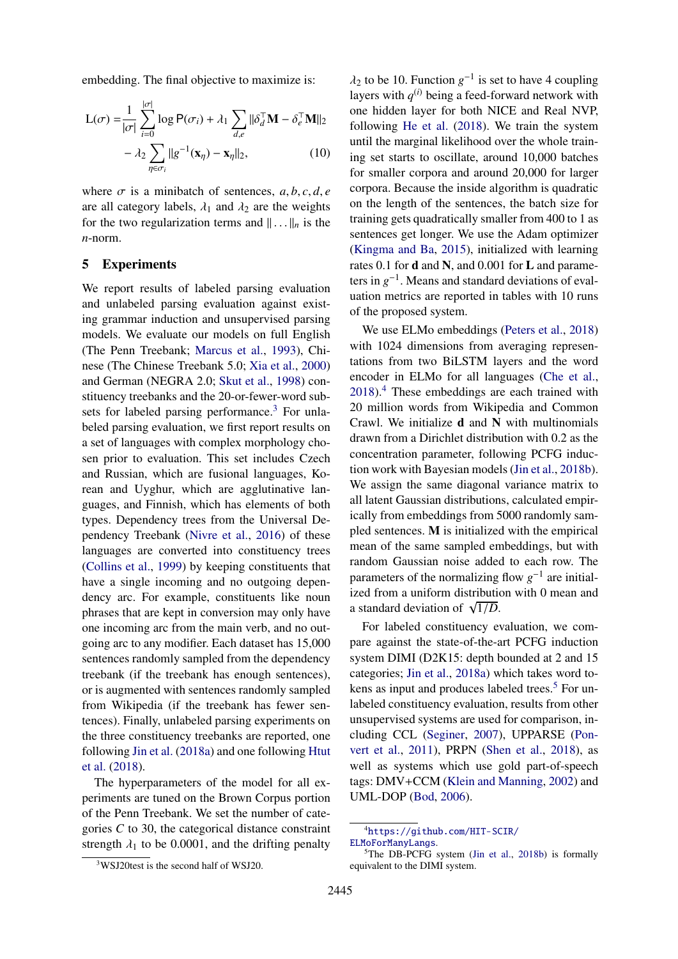embedding. The final objective to maximize is:

$$
L(\sigma) = \frac{1}{|\sigma|} \sum_{i=0}^{|\sigma|} \log P(\sigma_i) + \lambda_1 \sum_{d,e} ||\delta_d^{\top} \mathbf{M} - \delta_e^{\top} \mathbf{M}||_2
$$

$$
- \lambda_2 \sum_{\eta \in \sigma_i} ||g^{-1}(\mathbf{x}_{\eta}) - \mathbf{x}_{\eta}||_2, \qquad (10)
$$

where  $\sigma$  is a minibatch of sentences,  $a, b, c, d, e$ are all category labels,  $\lambda_1$  and  $\lambda_2$  are the weights for the two regularization terms and  $\|\ldots\|_n$  is the *n*-norm.

### 5 Experiments

We report results of labeled parsing evaluation and unlabeled parsing evaluation against existing grammar induction and unsupervised parsing models. We evaluate our models on full English (The Penn Treebank; [Marcus et al.,](#page-9-6) [1993\)](#page-9-6), Chinese (The Chinese Treebank 5.0; [Xia et al.,](#page-10-0) [2000\)](#page-10-0) and German (NEGRA 2.0; [Skut et al.,](#page-10-1) [1998\)](#page-10-1) constituency treebanks and the 20-or-fewer-word sub-sets for labeled parsing performance.<sup>[3](#page-3-0)</sup> For unlabeled parsing evaluation, we first report results on a set of languages with complex morphology chosen prior to evaluation. This set includes Czech and Russian, which are fusional languages, Korean and Uyghur, which are agglutinative languages, and Finnish, which has elements of both types. Dependency trees from the Universal Dependency Treebank [\(Nivre et al.,](#page-9-7) [2016\)](#page-9-7) of these languages are converted into constituency trees [\(Collins et al.,](#page-8-5) [1999\)](#page-8-5) by keeping constituents that have a single incoming and no outgoing dependency arc. For example, constituents like noun phrases that are kept in conversion may only have one incoming arc from the main verb, and no outgoing arc to any modifier. Each dataset has 15,000 sentences randomly sampled from the dependency treebank (if the treebank has enough sentences), or is augmented with sentences randomly sampled from Wikipedia (if the treebank has fewer sentences). Finally, unlabeled parsing experiments on the three constituency treebanks are reported, one following [Jin et al.](#page-9-8) [\(2018a\)](#page-9-8) and one following [Htut](#page-8-6) [et al.](#page-8-6) [\(2018\)](#page-8-6).

The hyperparameters of the model for all experiments are tuned on the Brown Corpus portion of the Penn Treebank. We set the number of categories *C* to 30, the categorical distance constraint strength  $\lambda_1$  to be 0.0001, and the drifting penalty

 $\lambda_2$  to be 10. Function  $g^{-1}$  is set to have 4 coupling<br>layers with  $g^{(i)}$  being a feed-forward network with layers with  $q^{(i)}$  being a feed-forward network with one hidden layer for both NICE and Real NVP, following [He et al.](#page-8-3) [\(2018\)](#page-8-3). We train the system until the marginal likelihood over the whole training set starts to oscillate, around 10,000 batches for smaller corpora and around 20,000 for larger corpora. Because the inside algorithm is quadratic on the length of the sentences, the batch size for training gets quadratically smaller from 400 to 1 as sentences get longer. We use the Adam optimizer [\(Kingma and Ba,](#page-9-9) [2015\)](#page-9-9), initialized with learning rates 0.1 for  $d$  and  $N$ , and 0.001 for  $L$  and parameters in  $g^{-1}$ . Means and standard deviations of evaluation metrics are reported in tables with 10 runs of the proposed system.

We use ELMo embeddings [\(Peters et al.,](#page-9-0) [2018\)](#page-9-0) with 1024 dimensions from averaging representations from two BiLSTM layers and the word encoder in ELMo for all languages [\(Che et al.,](#page-8-7) [2018\)](#page-8-7).[4](#page-3-1) These embeddings are each trained with 20 million words from Wikipedia and Common Crawl. We initialize  $d$  and  $N$  with multinomials drawn from a Dirichlet distribution with 0.2 as the concentration parameter, following PCFG induction work with Bayesian models [\(Jin et al.,](#page-9-1) [2018b\)](#page-9-1). We assign the same diagonal variance matrix to all latent Gaussian distributions, calculated empirically from embeddings from 5000 randomly sampled sentences. M is initialized with the empirical mean of the same sampled embeddings, but with random Gaussian noise added to each row. The parameters of the normalizing flow  $g^{-1}$  are initialized from a uniform distribution with 0 mean and a standard deviation of  $\sqrt{ }$  $\frac{1}{D}$ .

For labeled constituency evaluation, we compare against the state-of-the-art PCFG induction system DIMI (D2K15: depth bounded at 2 and 15 categories; [Jin et al.,](#page-9-8) [2018a\)](#page-9-8) which takes word to-kens as input and produces labeled trees.<sup>[5](#page-3-2)</sup> For unlabeled constituency evaluation, results from other unsupervised systems are used for comparison, including CCL [\(Seginer,](#page-9-10) [2007\)](#page-9-10), UPPARSE [\(Pon](#page-9-11)[vert et al.,](#page-9-11) [2011\)](#page-9-11), PRPN [\(Shen et al.,](#page-10-2) [2018\)](#page-10-2), as well as systems which use gold part-of-speech tags: DMV+CCM [\(Klein and Manning,](#page-9-12) [2002\)](#page-9-12) and UML-DOP [\(Bod,](#page-8-8) [2006\)](#page-8-8).

<span id="page-3-1"></span><sup>4</sup>[https://github.com/HIT-SCIR/](https://github.com/HIT-SCIR/ELMoForManyLangs) [ELMoForManyLangs](https://github.com/HIT-SCIR/ELMoForManyLangs).

<span id="page-3-2"></span><sup>&</sup>lt;sup>5</sup>The DB-PCFG system [\(Jin et al.,](#page-9-1) [2018b\)](#page-9-1) is formally equivalent to the DIMI system.

<span id="page-3-0"></span><sup>3</sup>WSJ20test is the second half of WSJ20.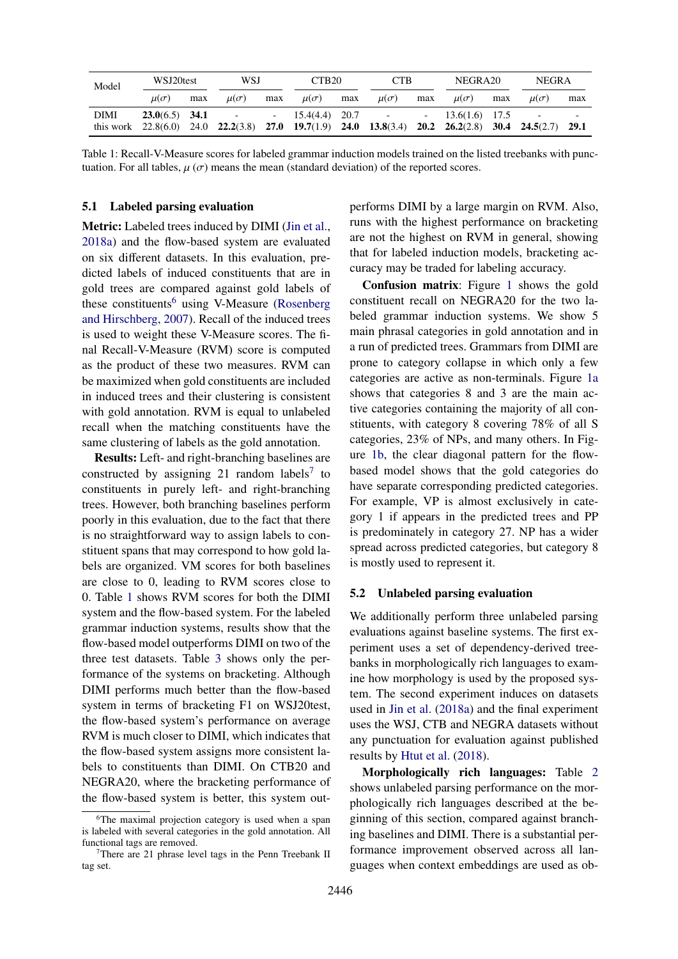<span id="page-4-2"></span>

| Model | WSJ20test     |     | WSJ           |     | CTB <sub>20</sub>                                                                                                                                                |     | <b>CTB</b>    |     | NEGRA <sub>20</sub> |     | <b>NEGRA</b>  |     |
|-------|---------------|-----|---------------|-----|------------------------------------------------------------------------------------------------------------------------------------------------------------------|-----|---------------|-----|---------------------|-----|---------------|-----|
|       | $\mu(\sigma)$ | max | $\mu(\sigma)$ | max | $\mu(\sigma)$                                                                                                                                                    | max | $\mu(\sigma)$ | max | $\mu(\sigma)$       | max | $\mu(\sigma)$ | max |
| DIMI  |               |     |               |     | <b>23.0</b> (6.5) <b>34.1</b> - - 15.4(4.4) <b>20.7</b> -<br>this work 22.8(6.0) 24.0 22.2(3.8) 27.0 19.7(1.9) 24.0 13.8(3.4) 20.2 26.2(2.8) 30.4 24.5(2.7) 29.1 |     |               |     | $-13.6(1.6)$ 17.5   |     |               |     |

Table 1: Recall-V-Measure scores for labeled grammar induction models trained on the listed treebanks with punctuation. For all tables,  $\mu(\sigma)$  means the mean (standard deviation) of the reported scores.

#### 5.1 Labeled parsing evaluation

Metric: Labeled trees induced by DIMI [\(Jin et al.,](#page-9-8) [2018a\)](#page-9-8) and the flow-based system are evaluated on six different datasets. In this evaluation, predicted labels of induced constituents that are in gold trees are compared against gold labels of these constituents<sup>[6](#page-4-0)</sup> using V-Measure [\(Rosenberg](#page-9-13)) [and Hirschberg,](#page-9-13) [2007\)](#page-9-13). Recall of the induced trees is used to weight these V-Measure scores. The final Recall-V-Measure (RVM) score is computed as the product of these two measures. RVM can be maximized when gold constituents are included in induced trees and their clustering is consistent with gold annotation. RVM is equal to unlabeled recall when the matching constituents have the same clustering of labels as the gold annotation.

Results: Left- and right-branching baselines are constructed by assigning 21 random labels<sup>[7](#page-4-1)</sup> to constituents in purely left- and right-branching trees. However, both branching baselines perform poorly in this evaluation, due to the fact that there is no straightforward way to assign labels to constituent spans that may correspond to how gold labels are organized. VM scores for both baselines are close to 0, leading to RVM scores close to 0. Table [1](#page-4-2) shows RVM scores for both the DIMI system and the flow-based system. For the labeled grammar induction systems, results show that the flow-based model outperforms DIMI on two of the three test datasets. Table [3](#page-5-0) shows only the performance of the systems on bracketing. Although DIMI performs much better than the flow-based system in terms of bracketing F1 on WSJ20test, the flow-based system's performance on average RVM is much closer to DIMI, which indicates that the flow-based system assigns more consistent labels to constituents than DIMI. On CTB20 and NEGRA20, where the bracketing performance of the flow-based system is better, this system outperforms DIMI by a large margin on RVM. Also, runs with the highest performance on bracketing are not the highest on RVM in general, showing that for labeled induction models, bracketing accuracy may be traded for labeling accuracy.

Confusion matrix: Figure [1](#page-5-1) shows the gold constituent recall on NEGRA20 for the two labeled grammar induction systems. We show 5 main phrasal categories in gold annotation and in a run of predicted trees. Grammars from DIMI are prone to category collapse in which only a few categories are active as non-terminals. Figure [1a](#page-5-1) shows that categories 8 and 3 are the main active categories containing the majority of all constituents, with category 8 covering 78% of all S categories, 23% of NPs, and many others. In Figure [1b,](#page-5-1) the clear diagonal pattern for the flowbased model shows that the gold categories do have separate corresponding predicted categories. For example, VP is almost exclusively in category 1 if appears in the predicted trees and PP is predominately in category 27. NP has a wider spread across predicted categories, but category 8 is mostly used to represent it.

#### 5.2 Unlabeled parsing evaluation

We additionally perform three unlabeled parsing evaluations against baseline systems. The first experiment uses a set of dependency-derived treebanks in morphologically rich languages to examine how morphology is used by the proposed system. The second experiment induces on datasets used in [Jin et al.](#page-9-8) [\(2018a\)](#page-9-8) and the final experiment uses the WSJ, CTB and NEGRA datasets without any punctuation for evaluation against published results by [Htut et al.](#page-8-6) [\(2018\)](#page-8-6).

Morphologically rich languages: Table [2](#page-5-2) shows unlabeled parsing performance on the morphologically rich languages described at the beginning of this section, compared against branching baselines and DIMI. There is a substantial performance improvement observed across all languages when context embeddings are used as ob-

<span id="page-4-0"></span><sup>6</sup>The maximal projection category is used when a span is labeled with several categories in the gold annotation. All functional tags are removed.

<span id="page-4-1"></span><sup>7</sup>There are 21 phrase level tags in the Penn Treebank II tag set.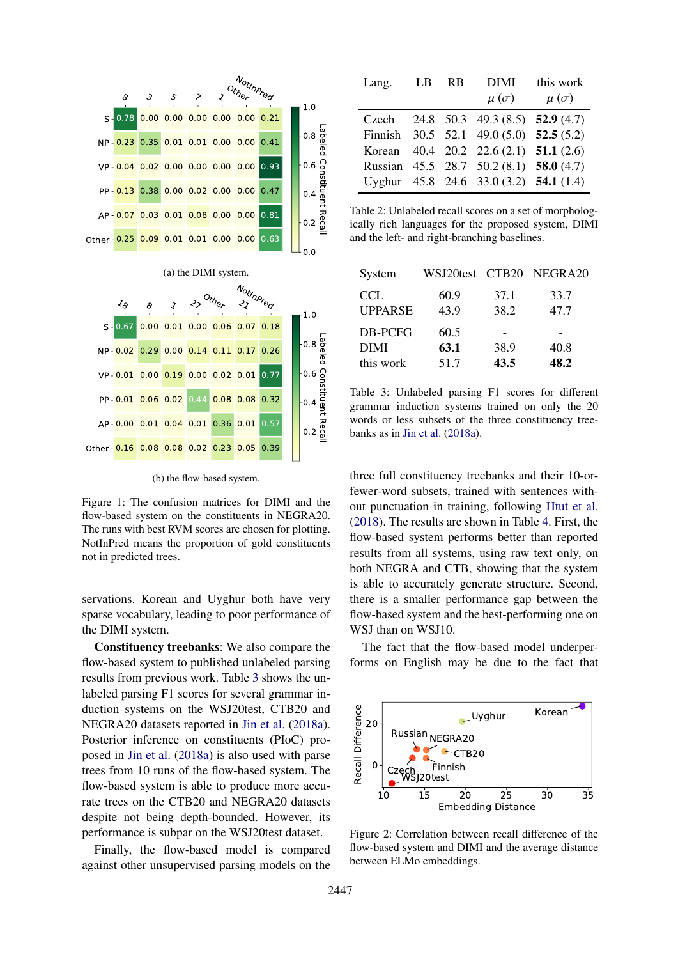<span id="page-5-1"></span>

(b) the flow-based system.

Figure 1: The confusion matrices for DIMI and the flow-based system on the constituents in NEGRA20. The runs with best RVM scores are chosen for plotting. NotInPred means the proportion of gold constituents not in predicted trees.

servations. Korean and Uyghur both have very sparse vocabulary, leading to poor performance of the DIMI system.

Constituency treebanks: We also compare the flow-based system to published unlabeled parsing results from previous work. Table [3](#page-5-0) shows the unlabeled parsing F1 scores for several grammar induction systems on the WSJ20test, CTB20 and NEGRA20 datasets reported in [Jin et al.](#page-9-8) [\(2018a\)](#page-9-8). Posterior inference on constituents (PIoC) proposed in [Jin et al.](#page-9-8) [\(2018a\)](#page-9-8) is also used with parse trees from 10 runs of the flow-based system. The flow-based system is able to produce more accurate trees on the CTB20 and NEGRA20 datasets despite not being depth-bounded. However, its performance is subpar on the WSJ20test dataset.

Finally, the flow-based model is compared against other unsupervised parsing models on the

<span id="page-5-2"></span>

| Lang. | LB | - RB | <b>DIMI</b>                                             | this work     |
|-------|----|------|---------------------------------------------------------|---------------|
|       |    |      | $\mu(\sigma)$                                           | $\mu(\sigma)$ |
|       |    |      | Czech 24.8 50.3 49.3 (8.5) 52.9 (4.7)                   |               |
|       |    |      | Finnish 30.5 52.1 49.0 (5.0) 52.5 (5.2)                 |               |
|       |    |      | Korean $40.4$ $20.2$ $22.6$ $(2.1)$ <b>51.1</b> $(2.6)$ |               |
|       |    |      | Russian 45.5 28.7 50.2 (8.1) 58.0 (4.7)                 |               |
|       |    |      | Uyghur 45.8 24.6 33.0 (3.2) 54.1 (1.4)                  |               |

Table 2: Unlabeled recall scores on a set of morphologically rich languages for the proposed system, DIMI and the left- and right-branching baselines.

<span id="page-5-0"></span>

| System         |      |      | WSJ20test CTB20 NEGRA20 |
|----------------|------|------|-------------------------|
| CCL            | 60.9 | 37.1 | 33.7                    |
| <b>UPPARSE</b> | 43.9 | 38.2 | 47.7                    |
| DB-PCFG        | 60.5 |      |                         |
| DIMI           | 63.1 | 38.9 | 40.8                    |
| this work      | 51.7 | 43.5 | 48.2                    |

Table 3: Unlabeled parsing F1 scores for different grammar induction systems trained on only the 20 words or less subsets of the three constituency treebanks as in [Jin et al.](#page-9-8) [\(2018a\)](#page-9-8).

three full constituency treebanks and their 10-orfewer-word subsets, trained with sentences without punctuation in training, following [Htut et al.](#page-8-6) [\(2018\)](#page-8-6). The results are shown in Table [4.](#page-6-0) First, the flow-based system performs better than reported results from all systems, using raw text only, on both NEGRA and CTB, showing that the system is able to accurately generate structure. Second, there is a smaller performance gap between the flow-based system and the best-performing one on WSJ than on WSJ10.

The fact that the flow-based model underperforms on English may be due to the fact that

<span id="page-5-3"></span>

Figure 2: Correlation between recall difference of the flow-based system and DIMI and the average distance between ELMo embeddings.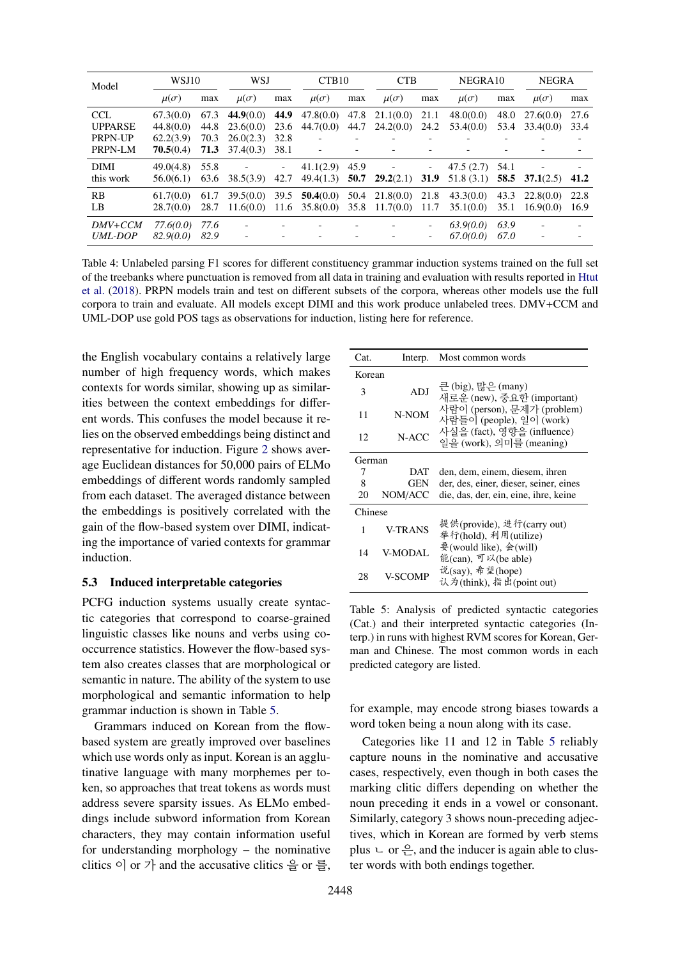<span id="page-6-0"></span>

| Model                                               | WSJ10                                            |                              | WSJ                                                            |              | CTB <sub>10</sub>                                        |     | <b>CTB</b>                                                                     |                        | NEGRA <sub>10</sub>      |              | <b>NEGRA</b>           |              |
|-----------------------------------------------------|--------------------------------------------------|------------------------------|----------------------------------------------------------------|--------------|----------------------------------------------------------|-----|--------------------------------------------------------------------------------|------------------------|--------------------------|--------------|------------------------|--------------|
|                                                     | $\mu(\sigma)$                                    | max                          | $\mu(\sigma)$                                                  | max          | $\mu(\sigma)$                                            | max | $\mu(\sigma)$                                                                  | max                    | $\mu(\sigma)$            | max          | $\mu(\sigma)$          | max          |
| CCL.<br><b>UPPARSE</b><br><b>PRPN-UP</b><br>PRPN-LM | 67.3(0.0)<br>44.8(0.0)<br>62.2(3.9)<br>70.5(0.4) | 67.3<br>44.8<br>70.3<br>71.3 | $44.9(0.0)$ 44.9<br>23.6(0.0)<br>26.0(2.3)<br>$37.4(0.3)$ 38.1 | 23.6<br>32.8 | $\overline{\phantom{0}}$                                 |     | $47.8(0.0)$ $47.8$ $21.1(0.0)$ $21.1$<br>$44.7(0.0)$ $44.7$ $24.2(0.0)$ $24.2$ |                        | 48.0(0.0)<br>53.4(0.0)   | 48.0<br>53.4 | 27.6(0.0)<br>33.4(0.0) | 27.6<br>33.4 |
| <b>DIMI</b><br>this work                            | 49.0(4.8)<br>56.0(6.1)                           | 55.8<br>63.6                 | <b>All Contracts</b><br>38.5(3.9)                              | 42.7         | $41.1(2.9)$ 45.9                                         |     | $\overline{\phantom{a}}$<br>$49.4(1.3)$ 50.7 29.2(2.1)                         | $\sim 10^{-1}$<br>31.9 | 47.5 (2.7)<br>51.8 (3.1) | 54.1         | 58.5 37.1 $(2.5)$      | 41.2         |
| RB<br>LB                                            | 61.7(0.0)<br>28.7(0.0)                           | 61.7<br>28.7                 | $39.5(0.0)$ 39.5                                               |              | $11.6(0.0)$ $11.6$ $35.8(0.0)$ $35.8$ $11.7(0.0)$ $11.7$ |     | 50.4(0.0) 50.4 21.8(0.0) 21.8                                                  |                        | 43.3(0.0)<br>35.1(0.0)   | 43.3<br>35.1 | 22.8(0.0)<br>16.9(0.0) | 22.8<br>16.9 |
| DMV+CCM<br><i>UML-DOP</i>                           | 77.6(0.0)<br>82.9(0.0)                           | 77.6<br>82.9                 |                                                                |              |                                                          |     |                                                                                |                        | 63.9(0.0)<br>67.000.0    | 63.9<br>67.0 |                        |              |

Table 4: Unlabeled parsing F1 scores for different constituency grammar induction systems trained on the full set of the treebanks where punctuation is removed from all data in training and evaluation with results reported in [Htut](#page-8-6) [et al.](#page-8-6) [\(2018\)](#page-8-6). PRPN models train and test on different subsets of the corpora, whereas other models use the full corpora to train and evaluate. All models except DIMI and this work produce unlabeled trees. DMV+CCM and UML-DOP use gold POS tags as observations for induction, listing here for reference.

the English vocabulary contains a relatively large number of high frequency words, which makes contexts for words similar, showing up as similarities between the context embeddings for different words. This confuses the model because it relies on the observed embeddings being distinct and representative for induction. Figure [2](#page-5-3) shows average Euclidean distances for 50,000 pairs of ELMo embeddings of different words randomly sampled from each dataset. The averaged distance between the embeddings is positively correlated with the gain of the flow-based system over DIMI, indicating the importance of varied contexts for grammar induction.

## 5.3 Induced interpretable categories

PCFG induction systems usually create syntactic categories that correspond to coarse-grained linguistic classes like nouns and verbs using cooccurrence statistics. However the flow-based system also creates classes that are morphological or semantic in nature. The ability of the system to use morphological and semantic information to help grammar induction is shown in Table [5.](#page-6-1)

Grammars induced on Korean from the flowbased system are greatly improved over baselines which use words only as input. Korean is an agglutinative language with many morphemes per token, so approaches that treat tokens as words must address severe sparsity issues. As ELMo embeddings include subword information from Korean characters, they may contain information useful for understanding morphology – the nominative clitics 이 or 가 and the accusative clitics 을 or 를,

<span id="page-6-1"></span>

| Cat.    | Interp.        | Most common words                                                |
|---------|----------------|------------------------------------------------------------------|
| Korean  |                |                                                                  |
| 3       | ADJ            | 큰 (big), 많은 (many)<br>새로운 (new), 중요한 (important)                 |
| 11      | N-NOM          | 사람이 (person), 문제가 (problem)<br>사람들이 (people), 일이 (work)          |
| 12      | N-ACC          | 사실을 (fact), 영향을 (influence)<br>일을 (work), 의미를 (meaning)          |
| German  |                |                                                                  |
| 7       | DAT            | den, dem, einem, diesem, ihren                                   |
| 8       | GEN            | der, des, einer, dieser, seiner, eines                           |
| 20      | NOM/ACC        | die, das, der, ein, eine, ihre, keine                            |
| Chinese |                |                                                                  |
| 1       | <b>V-TRANS</b> | 提供(provide), 进行(carry out)<br>举行(hold), 利用(utilize)              |
| 14      | <b>V-MODAL</b> | 要(would like), $\hat{\mathcal{F}}$ (will)<br>能(can), 可以(be able) |
| 28      | V-SCOMP        | 说(say), 希望(hope)<br>认为(think), 指出(point out)                     |

Table 5: Analysis of predicted syntactic categories (Cat.) and their interpreted syntactic categories (Interp.) in runs with highest RVM scores for Korean, German and Chinese. The most common words in each predicted category are listed.

for example, may encode strong biases towards a word token being a noun along with its case.

Categories like 11 and 12 in Table [5](#page-6-1) reliably capture nouns in the nominative and accusative cases, respectively, even though in both cases the marking clitic differs depending on whether the noun preceding it ends in a vowel or consonant. Similarly, category 3 shows noun-preceding adjectives, which in Korean are formed by verb stems plus  $\cup$  or  $\frac{\circ}{\leftarrow}$ , and the inducer is again able to cluster words with both endings together.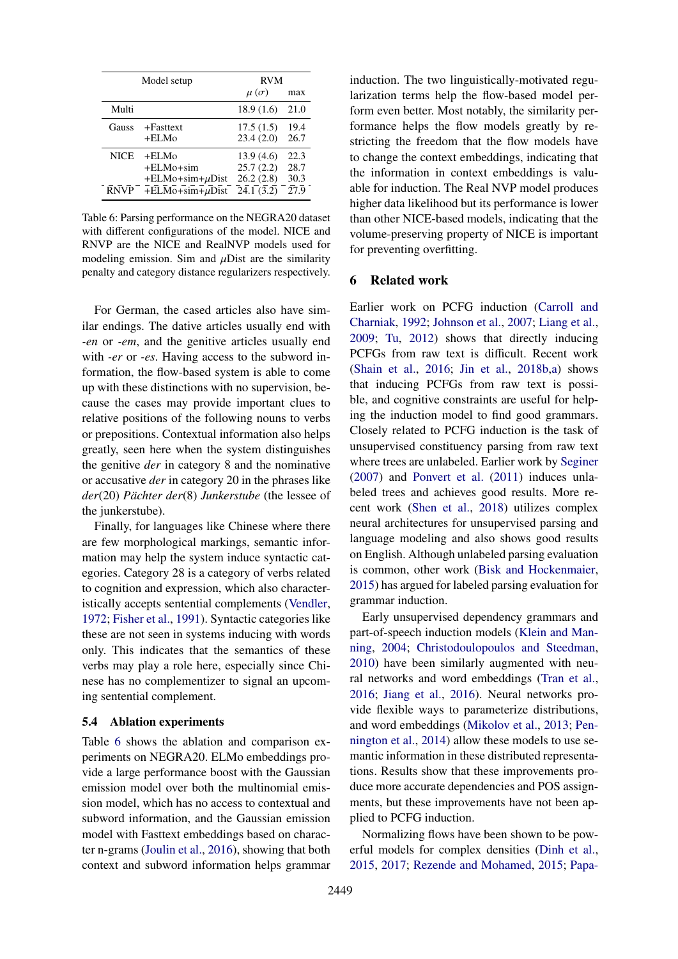<span id="page-7-0"></span>

|             | Model setup                                                                                                          | <b>RVM</b>                        |                  |  |  |
|-------------|----------------------------------------------------------------------------------------------------------------------|-----------------------------------|------------------|--|--|
|             |                                                                                                                      | $\mu(\sigma)$                     | max              |  |  |
| Multi       |                                                                                                                      | 18.9(1.6)                         | 21.0             |  |  |
| Gauss       | $+Fasttext$                                                                                                          | 17.5(1.5)                         | 19.4             |  |  |
|             | $+ELM0$                                                                                                              | 23.4(2.0)                         | 26.7             |  |  |
| <b>NICE</b> | $+ELM0$                                                                                                              | 13.9(4.6)                         | 22.3             |  |  |
|             | $+ELM0+sim$                                                                                                          | 25.7(2.2)                         | 28.7             |  |  |
|             | $+ELMo + sim + \mu Dist$                                                                                             | 26.2(2.8)                         | 30.3             |  |  |
| <b>RNVP</b> | $\overline{+}E\overline{L}\overline{M}\overline{0} + \overline{\text{sim}} + \mu \overline{D} \overline{\text{ist}}$ | $\overline{24.1}(\overline{3.2})$ | $27\overline{9}$ |  |  |

Table 6: Parsing performance on the NEGRA20 dataset with different configurations of the model. NICE and RNVP are the NICE and RealNVP models used for modeling emission. Sim and  $\mu$ Dist are the similarity penalty and category distance regularizers respectively.

For German, the cased articles also have similar endings. The dative articles usually end with *-en* or *-em*, and the genitive articles usually end with *-er* or *-es*. Having access to the subword information, the flow-based system is able to come up with these distinctions with no supervision, because the cases may provide important clues to relative positions of the following nouns to verbs or prepositions. Contextual information also helps greatly, seen here when the system distinguishes the genitive *der* in category 8 and the nominative or accusative *der* in category 20 in the phrases like *der*(20) *Pächter der*(8) *Junkerstube* (the lessee of the junkerstube).

Finally, for languages like Chinese where there are few morphological markings, semantic information may help the system induce syntactic categories. Category 28 is a category of verbs related to cognition and expression, which also characteristically accepts sentential complements [\(Vendler,](#page-10-3) [1972;](#page-10-3) [Fisher et al.,](#page-8-9) [1991\)](#page-8-9). Syntactic categories like these are not seen in systems inducing with words only. This indicates that the semantics of these verbs may play a role here, especially since Chinese has no complementizer to signal an upcoming sentential complement.

#### 5.4 Ablation experiments

Table [6](#page-7-0) shows the ablation and comparison experiments on NEGRA20. ELMo embeddings provide a large performance boost with the Gaussian emission model over both the multinomial emission model, which has no access to contextual and subword information, and the Gaussian emission model with Fasttext embeddings based on character n-grams [\(Joulin et al.,](#page-9-14) [2016\)](#page-9-14), showing that both context and subword information helps grammar

induction. The two linguistically-motivated regularization terms help the flow-based model perform even better. Most notably, the similarity performance helps the flow models greatly by restricting the freedom that the flow models have to change the context embeddings, indicating that the information in context embeddings is valuable for induction. The Real NVP model produces higher data likelihood but its performance is lower than other NICE-based models, indicating that the volume-preserving property of NICE is important for preventing overfitting.

### 6 Related work

Earlier work on PCFG induction [\(Carroll and](#page-8-10) [Charniak,](#page-8-10) [1992;](#page-8-10) [Johnson et al.,](#page-9-15) [2007;](#page-9-15) [Liang et al.,](#page-9-16) [2009;](#page-9-16) [Tu,](#page-10-4) [2012\)](#page-10-4) shows that directly inducing PCFGs from raw text is difficult. Recent work [\(Shain et al.,](#page-9-17) [2016;](#page-9-17) [Jin et al.,](#page-9-1) [2018b,](#page-9-1)[a\)](#page-9-8) shows that inducing PCFGs from raw text is possible, and cognitive constraints are useful for helping the induction model to find good grammars. Closely related to PCFG induction is the task of unsupervised constituency parsing from raw text where trees are unlabeled. Earlier work by [Seginer](#page-9-10) [\(2007\)](#page-9-10) and [Ponvert et al.](#page-9-11) [\(2011\)](#page-9-11) induces unlabeled trees and achieves good results. More recent work [\(Shen et al.,](#page-10-2) [2018\)](#page-10-2) utilizes complex neural architectures for unsupervised parsing and language modeling and also shows good results on English. Although unlabeled parsing evaluation is common, other work [\(Bisk and Hockenmaier,](#page-8-11) [2015\)](#page-8-11) has argued for labeled parsing evaluation for grammar induction.

Early unsupervised dependency grammars and part-of-speech induction models [\(Klein and Man](#page-9-18)[ning,](#page-9-18) [2004;](#page-9-18) [Christodoulopoulos and Steedman,](#page-8-12) [2010\)](#page-8-12) have been similarly augmented with neural networks and word embeddings [\(Tran et al.,](#page-10-5) [2016;](#page-10-5) [Jiang et al.,](#page-8-13) [2016\)](#page-8-13). Neural networks provide flexible ways to parameterize distributions, and word embeddings [\(Mikolov et al.,](#page-9-19) [2013;](#page-9-19) [Pen](#page-9-20)[nington et al.,](#page-9-20) [2014\)](#page-9-20) allow these models to use semantic information in these distributed representations. Results show that these improvements produce more accurate dependencies and POS assignments, but these improvements have not been applied to PCFG induction.

Normalizing flows have been shown to be powerful models for complex densities [\(Dinh et al.,](#page-8-2) [2015,](#page-8-2) [2017;](#page-8-4) [Rezende and Mohamed,](#page-9-4) [2015;](#page-9-4) [Papa-](#page-9-21)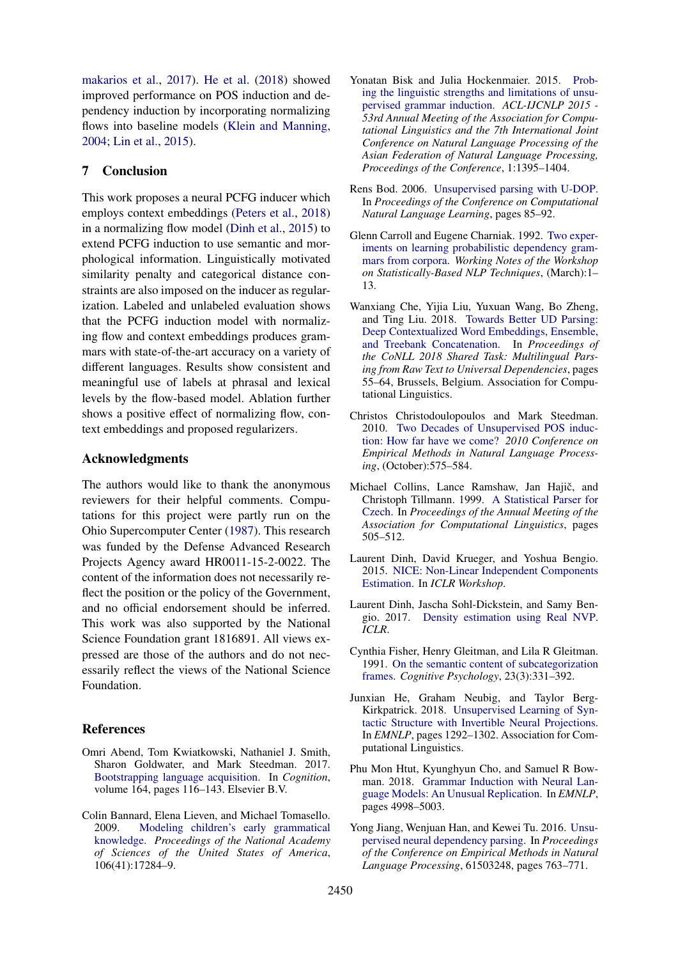[makarios et al.,](#page-9-21) [2017\)](#page-9-21). [He et al.](#page-8-3) [\(2018\)](#page-8-3) showed improved performance on POS induction and dependency induction by incorporating normalizing flows into baseline models [\(Klein and Manning,](#page-9-18) [2004;](#page-9-18) [Lin et al.,](#page-9-22) [2015\)](#page-9-22).

## 7 Conclusion

This work proposes a neural PCFG inducer which employs context embeddings [\(Peters et al.,](#page-9-0) [2018\)](#page-9-0) in a normalizing flow model [\(Dinh et al.,](#page-8-2) [2015\)](#page-8-2) to extend PCFG induction to use semantic and morphological information. Linguistically motivated similarity penalty and categorical distance constraints are also imposed on the inducer as regularization. Labeled and unlabeled evaluation shows that the PCFG induction model with normalizing flow and context embeddings produces grammars with state-of-the-art accuracy on a variety of different languages. Results show consistent and meaningful use of labels at phrasal and lexical levels by the flow-based model. Ablation further shows a positive effect of normalizing flow, context embeddings and proposed regularizers.

## Acknowledgments

The authors would like to thank the anonymous reviewers for their helpful comments. Computations for this project were partly run on the Ohio Supercomputer Center [\(1987\)](#page-9-23). This research was funded by the Defense Advanced Research Projects Agency award HR0011-15-2-0022. The content of the information does not necessarily reflect the position or the policy of the Government, and no official endorsement should be inferred. This work was also supported by the National Science Foundation grant 1816891. All views expressed are those of the authors and do not necessarily reflect the views of the National Science Foundation.

## References

- <span id="page-8-1"></span>Omri Abend, Tom Kwiatkowski, Nathaniel J. Smith, Sharon Goldwater, and Mark Steedman. 2017. [Bootstrapping language acquisition.](https://doi.org/10.1016/j.cognition.2017.02.009) In *Cognition*, volume 164, pages 116–143. Elsevier B.V.
- <span id="page-8-0"></span>Colin Bannard, Elena Lieven, and Michael Tomasello. 2009. [Modeling children's early grammatical](https://doi.org/10.1073/pnas.0905638106) [knowledge.](https://doi.org/10.1073/pnas.0905638106) *Proceedings of the National Academy of Sciences of the United States of America*, 106(41):17284–9.
- <span id="page-8-11"></span>Yonatan Bisk and Julia Hockenmaier. 2015. [Prob](http://nlp.cs.illinois.edu/HockenmaierGroup/Papers/ACL2015/Analysis.pdf http://www.scopus.com/inward/record.url?eid=2-s2.0-84943743437&partnerID=tZOtx3y1)[ing the linguistic strengths and limitations of unsu](http://nlp.cs.illinois.edu/HockenmaierGroup/Papers/ACL2015/Analysis.pdf http://www.scopus.com/inward/record.url?eid=2-s2.0-84943743437&partnerID=tZOtx3y1)[pervised grammar induction.](http://nlp.cs.illinois.edu/HockenmaierGroup/Papers/ACL2015/Analysis.pdf http://www.scopus.com/inward/record.url?eid=2-s2.0-84943743437&partnerID=tZOtx3y1) *ACL-IJCNLP 2015 - 53rd Annual Meeting of the Association for Computational Linguistics and the 7th International Joint Conference on Natural Language Processing of the Asian Federation of Natural Language Processing, Proceedings of the Conference*, 1:1395–1404.
- <span id="page-8-8"></span>Rens Bod. 2006. [Unsupervised parsing with U-DOP.](https://doi.org/10.3115/1596276.1596293) In *Proceedings of the Conference on Computational Natural Language Learning*, pages 85–92.
- <span id="page-8-10"></span>Glenn Carroll and Eugene Charniak. 1992. [Two exper](https://pdfs.semanticscholar.org/eb34/c9981c50bde33d165a7f5faeb72018aa4d09.pdf)[iments on learning probabilistic dependency gram](https://pdfs.semanticscholar.org/eb34/c9981c50bde33d165a7f5faeb72018aa4d09.pdf)[mars from corpora.](https://pdfs.semanticscholar.org/eb34/c9981c50bde33d165a7f5faeb72018aa4d09.pdf) *Working Notes of the Workshop on Statistically-Based NLP Techniques*, (March):1– 13.
- <span id="page-8-7"></span>Wanxiang Che, Yijia Liu, Yuxuan Wang, Bo Zheng, and Ting Liu. 2018. [Towards Better UD Parsing:](http://www.aclweb.org/anthology/K18-2005) [Deep Contextualized Word Embeddings, Ensemble,](http://www.aclweb.org/anthology/K18-2005) [and Treebank Concatenation.](http://www.aclweb.org/anthology/K18-2005) In *Proceedings of the CoNLL 2018 Shared Task: Multilingual Parsing from Raw Text to Universal Dependencies*, pages 55–64, Brussels, Belgium. Association for Computational Linguistics.
- <span id="page-8-12"></span>Christos Christodoulopoulos and Mark Steedman. 2010. [Two Decades of Unsupervised POS induc](http://homepages.inf.ed.ac.uk/sgwater/papers/emnlp10-20yrsPOS.pdf http://dl.acm.org/citation.cfm?id=1870658.1870714)[tion: How far have we come?](http://homepages.inf.ed.ac.uk/sgwater/papers/emnlp10-20yrsPOS.pdf http://dl.acm.org/citation.cfm?id=1870658.1870714) *2010 Conference on Empirical Methods in Natural Language Processing*, (October):575–584.
- <span id="page-8-5"></span>Michael Collins, Lance Ramshaw, Jan Hajič, and Christoph Tillmann. 1999. [A Statistical Parser for](https://doi.org/10.3115/1034678.1034754) [Czech.](https://doi.org/10.3115/1034678.1034754) In *Proceedings of the Annual Meeting of the Association for Computational Linguistics*, pages 505–512.
- <span id="page-8-2"></span>Laurent Dinh, David Krueger, and Yoshua Bengio. 2015. [NICE: Non-Linear Independent Components](https://arxiv.org/pdf/1410.8516.pdf) [Estimation.](https://arxiv.org/pdf/1410.8516.pdf) In *ICLR Workshop*.
- <span id="page-8-4"></span>Laurent Dinh, Jascha Sohl-Dickstein, and Samy Bengio. 2017. [Density estimation using Real NVP.](https://doi.org/1605.08803) *ICLR*.
- <span id="page-8-9"></span>Cynthia Fisher, Henry Gleitman, and Lila R Gleitman. 1991. [On the semantic content of subcategorization](https://doi.org/10.1016/0010-0285(91)90013-E) [frames.](https://doi.org/10.1016/0010-0285(91)90013-E) *Cognitive Psychology*, 23(3):331–392.
- <span id="page-8-3"></span>Junxian He, Graham Neubig, and Taylor Berg-Kirkpatrick. 2018. [Unsupervised Learning of Syn](https://github.com/jxhe/struct- http://arxiv.org/abs/1808.09111)[tactic Structure with Invertible Neural Projections.](https://github.com/jxhe/struct- http://arxiv.org/abs/1808.09111) In *EMNLP*, pages 1292–1302. Association for Computational Linguistics.
- <span id="page-8-6"></span>Phu Mon Htut, Kyunghyun Cho, and Samuel R Bowman. 2018. [Grammar Induction with Neural Lan](https://doi.org/10.1109/20.706375)[guage Models: An Unusual Replication.](https://doi.org/10.1109/20.706375) In *EMNLP*, pages 4998–5003.
- <span id="page-8-13"></span>Yong Jiang, Wenjuan Han, and Kewei Tu. 2016. [Unsu](https://aclweb.org/anthology/D16-1073)[pervised neural dependency parsing.](https://aclweb.org/anthology/D16-1073) In *Proceedings of the Conference on Empirical Methods in Natural Language Processing*, 61503248, pages 763–771.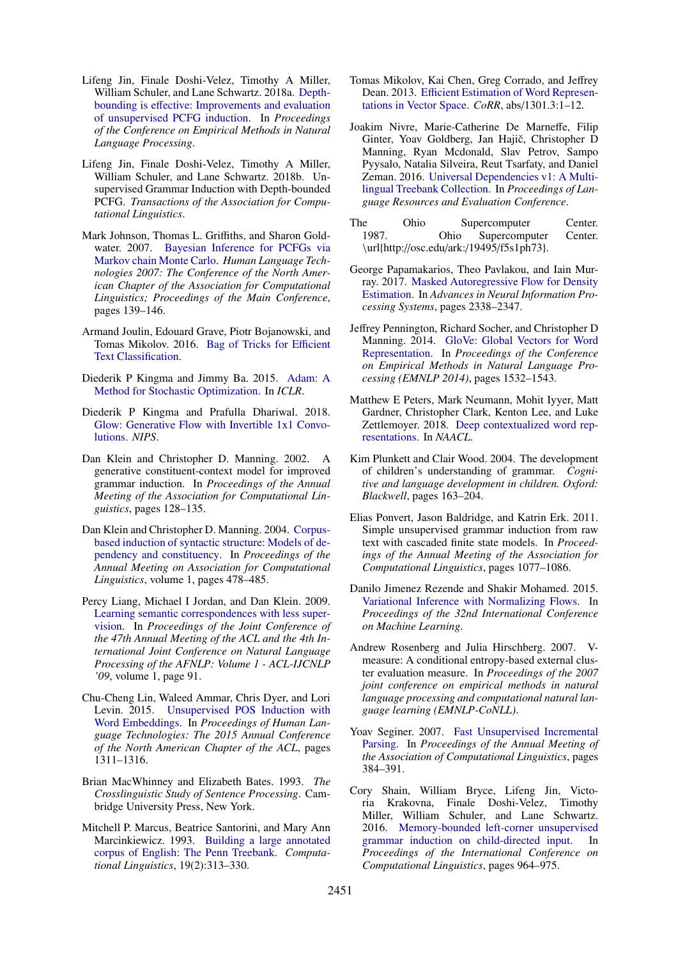- <span id="page-9-8"></span>Lifeng Jin, Finale Doshi-Velez, Timothy A Miller, William Schuler, and Lane Schwartz. 2018a. [Depth](https://github.com/lifengjin/dimi_emnlp18)bounding is eff[ective: Improvements and evaluation](https://github.com/lifengjin/dimi_emnlp18) [of unsupervised PCFG induction.](https://github.com/lifengjin/dimi_emnlp18) In *Proceedings of the Conference on Empirical Methods in Natural Language Processing*.
- <span id="page-9-1"></span>Lifeng Jin, Finale Doshi-Velez, Timothy A Miller, William Schuler, and Lane Schwartz. 2018b. Unsupervised Grammar Induction with Depth-bounded PCFG. *Transactions of the Association for Computational Linguistics*.
- <span id="page-9-15"></span>Mark Johnson, Thomas L. Griffiths, and Sharon Goldwater. 2007. [Bayesian Inference for PCFGs via](http://homepages.inf.ed.ac.uk/sgwater/papers/naacl07-mcmc-pcfg.pdf) [Markov chain Monte Carlo.](http://homepages.inf.ed.ac.uk/sgwater/papers/naacl07-mcmc-pcfg.pdf) *Human Language Technologies 2007: The Conference of the North American Chapter of the Association for Computational Linguistics; Proceedings of the Main Conference*, pages 139–146.
- <span id="page-9-14"></span>Armand Joulin, Edouard Grave, Piotr Bojanowski, and Tomas Mikolov. 2016. [Bag of Tricks for E](https://doi.org/1511.09249v1)fficient [Text Classification.](https://doi.org/1511.09249v1)
- <span id="page-9-9"></span>Diederik P Kingma and Jimmy Ba. 2015. [Adam: A](https://doi.org/10.1063/1.4902458) [Method for Stochastic Optimization.](https://doi.org/10.1063/1.4902458) In *ICLR*.
- <span id="page-9-5"></span>Diederik P Kingma and Prafulla Dhariwal. 2018. [Glow: Generative Flow with Invertible 1x1 Convo](https://doi.org/10.1097/PHM.0b013e318038d39c)[lutions.](https://doi.org/10.1097/PHM.0b013e318038d39c) *NIPS*.
- <span id="page-9-12"></span>Dan Klein and Christopher D. Manning. 2002. A generative constituent-context model for improved grammar induction. In *Proceedings of the Annual Meeting of the Association for Computational Linguistics*, pages 128–135.
- <span id="page-9-18"></span>Dan Klein and Christopher D. Manning. 2004. [Corpus](https://doi.org/10.3115/1218955.1219016)[based induction of syntactic structure: Models of de](https://doi.org/10.3115/1218955.1219016)[pendency and constituency.](https://doi.org/10.3115/1218955.1219016) In *Proceedings of the Annual Meeting on Association for Computational Linguistics*, volume 1, pages 478–485.
- <span id="page-9-16"></span>Percy Liang, Michael I Jordan, and Dan Klein. 2009. [Learning semantic correspondences with less super](https://doi.org/10.3115/1687878.1687893)[vision.](https://doi.org/10.3115/1687878.1687893) In *Proceedings of the Joint Conference of the 47th Annual Meeting of the ACL and the 4th International Joint Conference on Natural Language Processing of the AFNLP: Volume 1 - ACL-IJCNLP '09*, volume 1, page 91.
- <span id="page-9-22"></span>Chu-Cheng Lin, Waleed Ammar, Chris Dyer, and Lori Levin. 2015. [Unsupervised POS Induction with](http://www.aclweb.org/anthology/N15-1144 http://arxiv.org/abs/1503.06760) [Word Embeddings.](http://www.aclweb.org/anthology/N15-1144 http://arxiv.org/abs/1503.06760) In *Proceedings of Human Language Technologies: The 2015 Annual Conference of the North American Chapter of the ACL*, pages 1311–1316.
- <span id="page-9-2"></span>Brian MacWhinney and Elizabeth Bates. 1993. *The Crosslinguistic Study of Sentence Processing*. Cambridge University Press, New York.
- <span id="page-9-6"></span>Mitchell P. Marcus, Beatrice Santorini, and Mary Ann Marcinkiewicz. 1993. [Building a large annotated](http://dl.acm.org/citation.cfm?id=972470.972475) [corpus of English: The Penn Treebank.](http://dl.acm.org/citation.cfm?id=972470.972475) *Computational Linguistics*, 19(2):313–330.
- <span id="page-9-19"></span>Tomas Mikolov, Kai Chen, Greg Corrado, and Jeffrey Dean. 2013. Effi[cient Estimation of Word Represen](http://arxiv.org/abs/1301.3781)[tations in Vector Space.](http://arxiv.org/abs/1301.3781) *CoRR*, abs/1301.3:1–12.
- <span id="page-9-7"></span>Joakim Nivre, Marie-Catherine De Marneffe, Filip Ginter, Yoav Goldberg, Jan Hajič, Christopher D Manning, Ryan Mcdonald, Slav Petrov, Sampo Pyysalo, Natalia Silveira, Reut Tsarfaty, and Daniel Zeman. 2016. [Universal Dependencies v1: A Multi](http://universaldependencies.org.)[lingual Treebank Collection.](http://universaldependencies.org.) In *Proceedings of Language Resources and Evaluation Conference*.
- <span id="page-9-23"></span>The Ohio Supercomputer Center. 1987. Ohio Supercomputer Center. \url{http://osc.edu/ark:/19495/f5s1ph73}.
- <span id="page-9-21"></span>George Papamakarios, Theo Pavlakou, and Iain Murray. 2017. [Masked Autoregressive Flow for Density](https://doi.org/10.1080/0955300001003760) [Estimation.](https://doi.org/10.1080/0955300001003760) In *Advances in Neural Information Processing Systems*, pages 2338–2347.
- <span id="page-9-20"></span>Jeffrey Pennington, Richard Socher, and Christopher D Manning. 2014. [GloVe: Global Vectors for Word](https://doi.org/10.3115/v1/D14-1162) [Representation.](https://doi.org/10.3115/v1/D14-1162) In *Proceedings of the Conference on Empirical Methods in Natural Language Processing (EMNLP 2014)*, pages 1532–1543.
- <span id="page-9-0"></span>Matthew E Peters, Mark Neumann, Mohit Iyyer, Matt Gardner, Christopher Clark, Kenton Lee, and Luke Zettlemoyer. 2018. [Deep contextualized word rep](https://arxiv.org/pdf/1802.05365.pdf)[resentations.](https://arxiv.org/pdf/1802.05365.pdf) In *NAACL*.
- <span id="page-9-3"></span>Kim Plunkett and Clair Wood. 2004. The development of children's understanding of grammar. *Cognitive and language development in children. Oxford: Blackwell*, pages 163–204.
- <span id="page-9-11"></span>Elias Ponvert, Jason Baldridge, and Katrin Erk. 2011. Simple unsupervised grammar induction from raw text with cascaded finite state models. In *Proceedings of the Annual Meeting of the Association for Computational Linguistics*, pages 1077–1086.
- <span id="page-9-4"></span>Danilo Jimenez Rezende and Shakir Mohamed. 2015. [Variational Inference with Normalizing Flows.](https://arxiv.org/pdf/1505.05770.pdf http://arxiv.org/abs/1505.05770) In *Proceedings of the 32nd International Conference on Machine Learning*.
- <span id="page-9-13"></span>Andrew Rosenberg and Julia Hirschberg. 2007. Vmeasure: A conditional entropy-based external cluster evaluation measure. In *Proceedings of the 2007 joint conference on empirical methods in natural language processing and computational natural language learning (EMNLP-CoNLL)*.
- <span id="page-9-10"></span>Yoav Seginer. 2007. [Fast Unsupervised Incremental](http://www.aclweb.org/anthology/P07-1049) [Parsing.](http://www.aclweb.org/anthology/P07-1049) In *Proceedings of the Annual Meeting of the Association of Computational Linguistics*, pages 384–391.
- <span id="page-9-17"></span>Cory Shain, William Bryce, Lifeng Jin, Victoria Krakovna, Finale Doshi-Velez, Timothy Miller, William Schuler, and Lane Schwartz. 2016. [Memory-bounded left-corner unsupervised](https://www.aclweb.org/anthology/C/C16/C16-1092.pdf) [grammar induction on child-directed input.](https://www.aclweb.org/anthology/C/C16/C16-1092.pdf) In *Proceedings of the International Conference on Computational Linguistics*, pages 964–975.